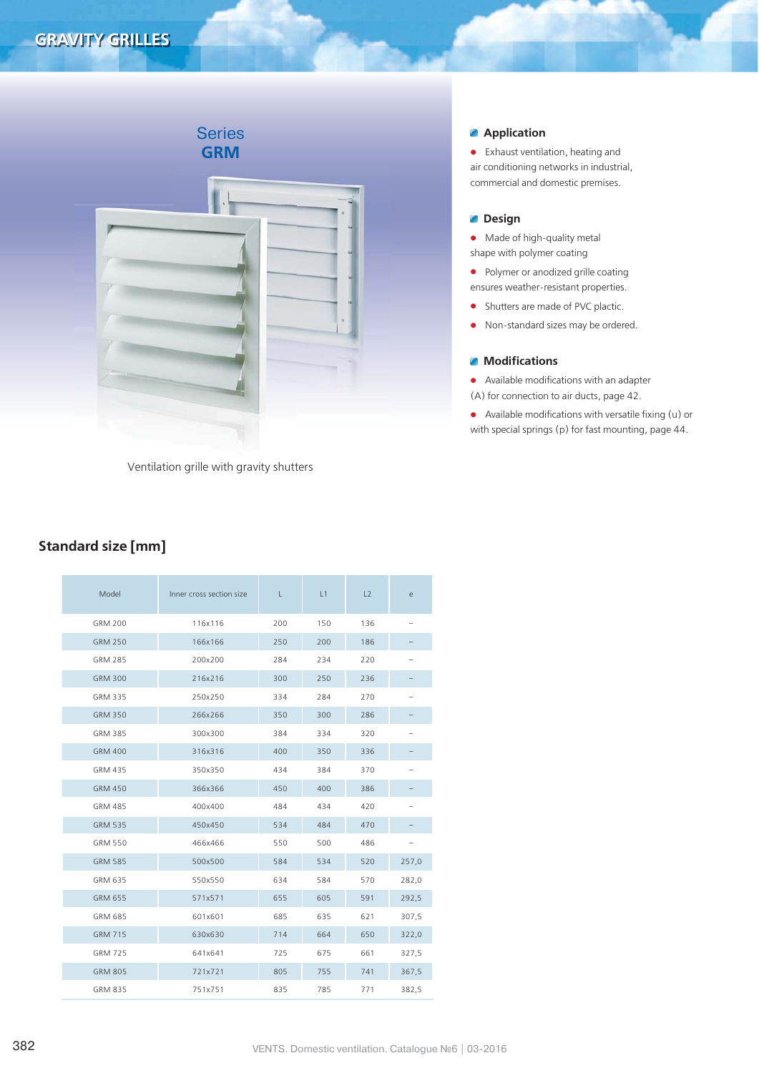# Series **GRM**

Ventilation grille with gravity shutters

# **Application**

**•** Exhaust ventilation, heating and air conditioning networks in industrial, commercial and domestic premises.

### **Design**

- **•** Made of high-quality metal shape with polymer coating
- **•** Polymer or anodized grille coating ensures weather-resistant properties.
- **•** Shutters are made of PVC plactic.
- **•** Non-standard sizes may be ordered.

## **Modifications**

**•** Available modifications with an adapter (A) for connection to air ducts, page 42.

**•** Available modifications with versatile fixing (u) or with special springs (p) for fast mounting, page 44.

# **Standard size [mm]**

| Model          | Inner cross section size | L<br>L1 |     | L2  | e     |
|----------------|--------------------------|---------|-----|-----|-------|
| <b>GRM 200</b> | 116x116                  | 200     | 150 | 136 |       |
| <b>GRM 250</b> | 166x166                  | 250     | 200 | 186 |       |
| <b>GRM 285</b> | 200x200                  | 284     | 234 | 220 |       |
| <b>GRM 300</b> | 216x216                  | 300     | 250 | 236 |       |
| <b>GRM 335</b> | 250x250                  | 334     | 284 | 270 |       |
| <b>GRM 350</b> | 266x266                  | 350     | 300 | 286 |       |
| <b>GRM 385</b> | 300x300                  | 384     | 334 | 320 |       |
| <b>GRM 400</b> | 316x316                  | 400     | 350 | 336 |       |
| GRM 435        | 350x350                  | 434     | 384 | 370 |       |
| <b>GRM 450</b> | 366x366                  | 450     | 400 | 386 |       |
| <b>GRM 485</b> | 400x400                  | 484     | 434 | 420 |       |
| <b>GRM 535</b> | 450x450                  | 534     | 484 | 470 |       |
| GRM 550        | 466x466                  | 550     | 500 | 486 |       |
| <b>GRM 585</b> | 500x500                  | 584     | 534 | 520 | 257,0 |
| GRM 635        | 550x550                  | 634     | 584 | 570 | 282,0 |
| <b>GRM 655</b> | 571x571                  | 655     | 605 | 591 | 292,5 |
| <b>GRM 685</b> | 601x601                  | 685     | 635 | 621 | 307,5 |
| <b>GRM 715</b> | 630x630                  | 714     | 664 | 650 | 322,0 |
| <b>GRM 725</b> | 641x641                  | 725     | 675 | 661 | 327,5 |
| <b>GRM 805</b> | 721x721                  | 805     | 755 | 741 | 367,5 |
| GRM 835        | 751x751                  | 835     | 785 | 771 | 382,5 |
|                |                          |         |     |     |       |